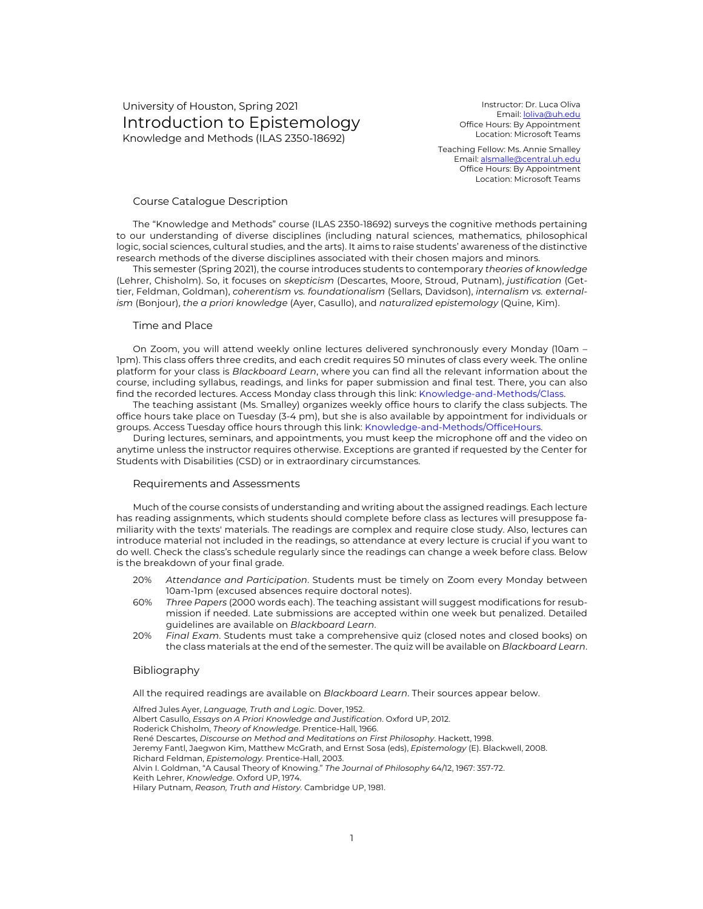# University of Houston, Spring 2021 Introduction to Epistemology Knowledge and Methods (ILAS 2350-18692)

Instructor: Dr. Luca Oliva Email: loliva@uh.edu Office Hours: By Appointment Location: Microsoft Teams

Teaching Fellow: Ms. Annie Smalley Email: alsmalle@central.uh.edu Office Hours: By Appointment Location: Microsoft Teams

### Course Catalogue Description

The "Knowledge and Methods" course (ILAS 2350-18692) surveys the cognitive methods pertaining to our understanding of diverse disciplines (including natural sciences, mathematics, philosophical logic, social sciences, cultural studies, and the arts). It aims to raise students' awareness of the distinctive research methods of the diverse disciplines associated with their chosen majors and minors.

This semester (Spring 2021), the course introduces students to contemporary *theories of knowledge* (Lehrer, Chisholm). So, it focuses on *skepticism* (Descartes, Moore, Stroud, Putnam), *justification* (Gettier, Feldman, Goldman), *coherentism vs. foundationalism* (Sellars, Davidson), *internalism vs. externalism* (Bonjour), *the a priori knowledge* (Ayer, Casullo), and *naturalized epistemology* (Quine, Kim).

#### Time and Place

On Zoom, you will attend weekly online lectures delivered synchronously every Monday (10am – 1pm). This class offers three credits, and each credit requires 50 minutes of class every week. The online platform for your class is *Blackboard Learn*, where you can find all the relevant information about the course, including syllabus, readings, and links for paper submission and final test. There, you can also find the recorded lectures. Access Monday class through this link: Knowledge-and-Methods/Class.

The teaching assistant (Ms. Smalley) organizes weekly office hours to clarify the class subjects. The office hours take place on Tuesday (3-4 pm), but she is also available by appointment for individuals or groups. Access Tuesday office hours through this link: Knowledge-and-Methods/OfficeHours.

During lectures, seminars, and appointments, you must keep the microphone off and the video on anytime unless the instructor requires otherwise. Exceptions are granted if requested by the Center for Students with Disabilities (CSD) or in extraordinary circumstances.

#### Requirements and Assessments

Much of the course consists of understanding and writing about the assigned readings. Each lecture has reading assignments, which students should complete before class as lectures will presuppose familiarity with the texts' materials. The readings are complex and require close study. Also, lectures can introduce material not included in the readings, so attendance at every lecture is crucial if you want to do well. Check the class's schedule regularly since the readings can change a week before class. Below is the breakdown of your final grade.

- 20% *Attendance and Participation*. Students must be timely on Zoom every Monday between 10am-1pm (excused absences require doctoral notes).
- 60% *Three Papers* (2000 words each). The teaching assistant will suggest modifications for resubmission if needed. Late submissions are accepted within one week but penalized. Detailed guidelines are available on *Blackboard Learn*.
- 20% *Final Exam*. Students must take a comprehensive quiz (closed notes and closed books) on the class materials at the end of the semester. The quiz will be available on *Blackboard Learn*.

### Bibliography

All the required readings are available on *Blackboard Learn*. Their sources appear below.

Alfred Jules Ayer, *Language, Truth and Logic*. Dover, 1952. Albert Casullo, *Essays on A Priori Knowledge and Justification*. Oxford UP, 2012. Roderick Chisholm, *Theory of Knowledge*. Prentice-Hall, 1966. René Descartes, *Discourse on Method and Meditations on First Philosophy*. Hackett, 1998. Jeremy Fantl, Jaegwon Kim, Matthew McGrath, and Ernst Sosa (eds), *Epistemology* (E). Blackwell, 2008. Richard Feldman, *Epistemology*. Prentice-Hall, 2003. Alvin I. Goldman, "A Causal Theory of Knowing." *The Journal of Philosophy* 64/12, 1967: 357-72. Keith Lehrer, *Knowledge*. Oxford UP, 1974. Hilary Putnam, *Reason, Truth and History*. Cambridge UP, 1981.